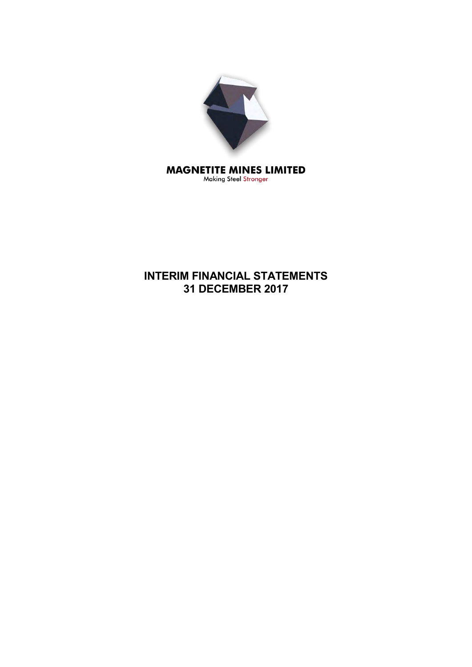

Making Steel Stronger

# **INTERIM FINANCIAL STATEMENTS 31 DECEMBER 2017**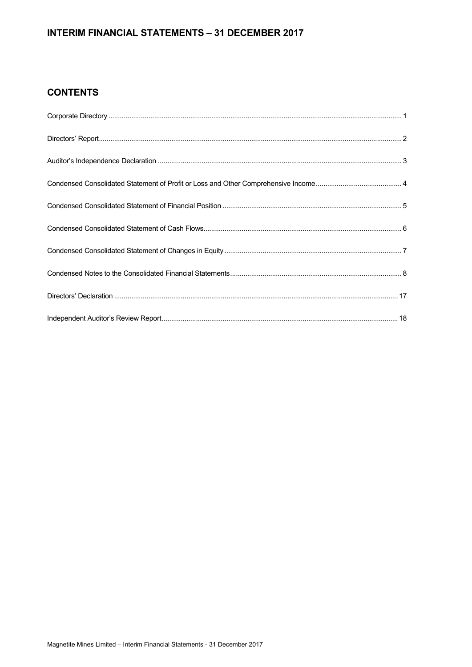# **INTERIM FINANCIAL STATEMENTS – 31 DECEMBER 2017**

# **CONTENTS**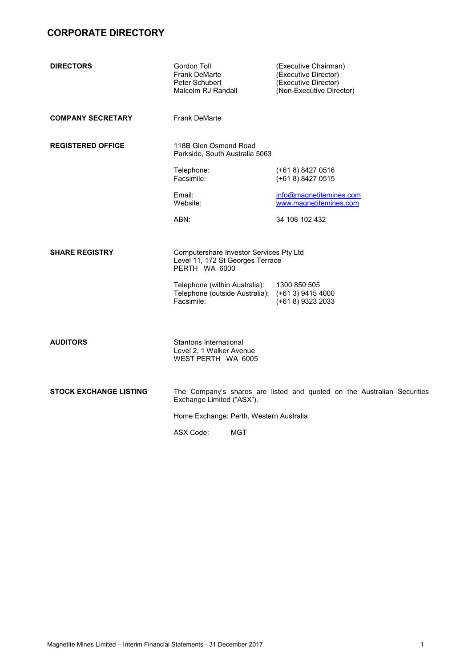# **CORPORATE DIRECTORY**

| <b>DIRECTORS</b>              | Gordon Toll<br><b>Frank DeMarte</b><br>Peter Schubert<br>Malcolm RJ Randall                  | (Executive Chairman)<br>(Executive Director)<br>(Executive Director)<br>(Non-Executive Director) |
|-------------------------------|----------------------------------------------------------------------------------------------|--------------------------------------------------------------------------------------------------|
| <b>COMPANY SECRETARY</b>      | <b>Frank DeMarte</b>                                                                         |                                                                                                  |
| <b>REGISTERED OFFICE</b>      | 118B Glen Osmond Road<br>Parkside, South Australia 5063                                      |                                                                                                  |
|                               | Telephone:<br>Facsimile:                                                                     | (+61 8) 8427 0516<br>(+61 8) 8427 0515                                                           |
|                               | Email:<br>Website:                                                                           | info@magnetitemines.com<br>www.magnetitemines.com                                                |
|                               | ABN:                                                                                         | 34 108 102 432                                                                                   |
| <b>SHARE REGISTRY</b>         | Computershare Investor Services Pty Ltd<br>Level 11, 172 St Georges Terrace<br>PERTH WA 6000 |                                                                                                  |
|                               | Telephone (within Australia):<br>Telephone (outside Australia):<br>Facsimile:                | 1300 850 505<br>(+61 3) 9415 4000<br>(+61 8) 9323 2033                                           |
| <b>AUDITORS</b>               | Stantons International<br>Level 2, 1 Walker Avenue<br>WEST PERTH WA 6005                     |                                                                                                  |
| <b>STOCK EXCHANGE LISTING</b> | Exchange Limited ("ASX").                                                                    | The Company's shares are listed and quoted on the Australian Securities                          |
|                               | Home Exchange: Perth, Western Australia                                                      |                                                                                                  |
|                               | ASX Code:<br><b>MGT</b>                                                                      |                                                                                                  |
|                               |                                                                                              |                                                                                                  |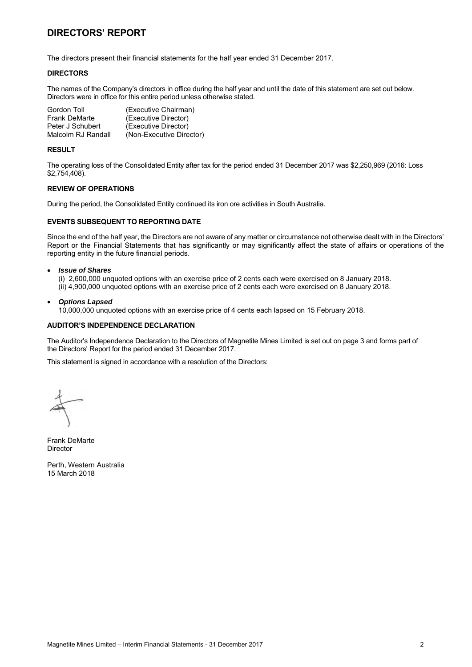# **DIRECTORS' REPORT**

The directors present their financial statements for the half year ended 31 December 2017.

#### **DIRECTORS**

The names of the Company's directors in office during the half year and until the date of this statement are set out below. Directors were in office for this entire period unless otherwise stated.

| Gordon Toll          | (Executive Chairman)     |
|----------------------|--------------------------|
| <b>Frank DeMarte</b> | (Executive Director)     |
| Peter J Schubert     | (Executive Director)     |
| Malcolm RJ Randall   | (Non-Executive Director) |

#### **RESULT**

The operating loss of the Consolidated Entity after tax for the period ended 31 December 2017 was \$2,250,969 (2016: Loss \$2,754,408).

#### **REVIEW OF OPERATIONS**

During the period, the Consolidated Entity continued its iron ore activities in South Australia.

### **EVENTS SUBSEQUENT TO REPORTING DATE**

Since the end of the half year, the Directors are not aware of any matter or circumstance not otherwise dealt with in the Directors' Report or the Financial Statements that has significantly or may significantly affect the state of affairs or operations of the reporting entity in the future financial periods.

#### • *Issue of Shares*

(i) 2,600,000 unquoted options with an exercise price of 2 cents each were exercised on 8 January 2018. (ii) 4,900,000 unquoted options with an exercise price of 2 cents each were exercised on 8 January 2018.

• *Options Lapsed*

10,000,000 unquoted options with an exercise price of 4 cents each lapsed on 15 February 2018.

### **AUDITOR'S INDEPENDENCE DECLARATION**

The Auditor's Independence Declaration to the Directors of Magnetite Mines Limited is set out on page 3 and forms part of the Directors' Report for the period ended 31 December 2017.

This statement is signed in accordance with a resolution of the Directors:

Frank DeMarte Director

Perth, Western Australia 15 March 2018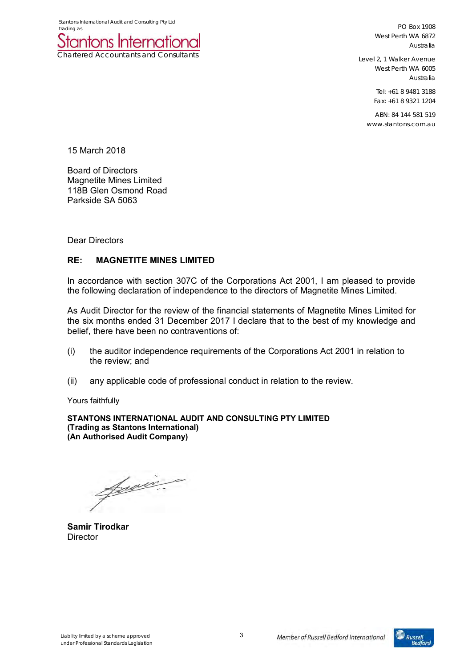

PO Box 1908 West Perth WA 6872 Australia

Level 2, 1 Walker Avenue West Perth WA 6005 Australia

> Tel: +61 8 9481 3188 Fax: +61 8 9321 1204

ABN: 84 144 581 519 www.stantons.com.au

15 March 2018

Board of Directors Magnetite Mines Limited 118B Glen Osmond Road Parkside SA 5063

Dear Directors

# **RE: MAGNETITE MINES LIMITED**

In accordance with section 307C of the Corporations Act 2001, I am pleased to provide the following declaration of independence to the directors of Magnetite Mines Limited.

As Audit Director for the review of the financial statements of Magnetite Mines Limited for the six months ended 31 December 2017 I declare that to the best of my knowledge and belief, there have been no contraventions of:

- (i) the auditor independence requirements of the Corporations Act 2001 in relation to the review; and
- (ii) any applicable code of professional conduct in relation to the review.

Yours faithfully

**STANTONS INTERNATIONAL AUDIT AND CONSULTING PTY LIMITED (Trading as Stantons International) (An Authorised Audit Company)** 

Jewin.

**Samir Tirodkar Director** 

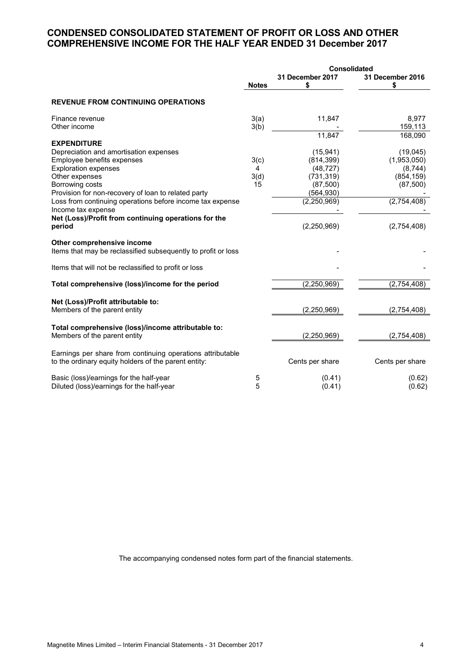# **CONDENSED CONSOLIDATED STATEMENT OF PROFIT OR LOSS AND OTHER COMPREHENSIVE INCOME FOR THE HALF YEAR ENDED 31 December 2017**

|                                                                                                                                                                                                                                                                                    | <b>Consolidated</b>     |                                                                                                |                                                                              |  |
|------------------------------------------------------------------------------------------------------------------------------------------------------------------------------------------------------------------------------------------------------------------------------------|-------------------------|------------------------------------------------------------------------------------------------|------------------------------------------------------------------------------|--|
|                                                                                                                                                                                                                                                                                    | <b>Notes</b>            | 31 December 2017<br>\$                                                                         | 31 December 2016<br>\$                                                       |  |
| <b>REVENUE FROM CONTINUING OPERATIONS</b>                                                                                                                                                                                                                                          |                         |                                                                                                |                                                                              |  |
| Finance revenue<br>Other income                                                                                                                                                                                                                                                    | 3(a)<br>3(b)            | 11,847                                                                                         | 8,977<br>159,113                                                             |  |
| <b>EXPENDITURE</b>                                                                                                                                                                                                                                                                 |                         | 11,847                                                                                         | 168,090                                                                      |  |
| Depreciation and amortisation expenses<br>Employee benefits expenses<br><b>Exploration expenses</b><br>Other expenses<br>Borrowing costs<br>Provision for non-recovery of loan to related party<br>Loss from continuing operations before income tax expense<br>Income tax expense | 3(c)<br>4<br>3(d)<br>15 | (15, 941)<br>(814, 399)<br>(48, 727)<br>(731, 319)<br>(87, 500)<br>(564, 930)<br>(2, 250, 969) | (19,045)<br>(1,953,050)<br>(8,744)<br>(854, 159)<br>(87, 500)<br>(2,754,408) |  |
| Net (Loss)/Profit from continuing operations for the<br>period                                                                                                                                                                                                                     |                         | (2,250,969)                                                                                    | (2,754,408)                                                                  |  |
| Other comprehensive income<br>Items that may be reclassified subsequently to profit or loss                                                                                                                                                                                        |                         |                                                                                                |                                                                              |  |
| Items that will not be reclassified to profit or loss                                                                                                                                                                                                                              |                         |                                                                                                |                                                                              |  |
| Total comprehensive (loss)/income for the period                                                                                                                                                                                                                                   |                         | (2, 250, 969)                                                                                  | (2,754,408)                                                                  |  |
| Net (Loss)/Profit attributable to:<br>Members of the parent entity                                                                                                                                                                                                                 |                         | (2,250,969)                                                                                    | (2,754,408)                                                                  |  |
| Total comprehensive (loss)/income attributable to:<br>Members of the parent entity                                                                                                                                                                                                 |                         | (2, 250, 969)                                                                                  | (2,754,408)                                                                  |  |
| Earnings per share from continuing operations attributable<br>to the ordinary equity holders of the parent entity:                                                                                                                                                                 |                         | Cents per share                                                                                | Cents per share                                                              |  |
| Basic (loss)/earnings for the half-year<br>Diluted (loss)/earnings for the half-year                                                                                                                                                                                               | 5<br>5                  | (0.41)<br>(0.41)                                                                               | (0.62)<br>(0.62)                                                             |  |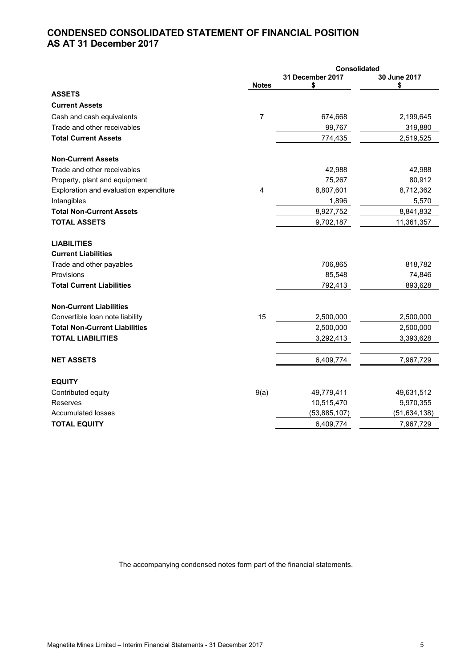# **CONDENSED CONSOLIDATED STATEMENT OF FINANCIAL POSITION AS AT 31 December 2017**

|                                                  |              | Consolidated           |                    |
|--------------------------------------------------|--------------|------------------------|--------------------|
|                                                  | <b>Notes</b> | 31 December 2017<br>\$ | 30 June 2017<br>\$ |
| <b>ASSETS</b>                                    |              |                        |                    |
| <b>Current Assets</b>                            |              |                        |                    |
| Cash and cash equivalents                        | 7            | 674,668                | 2,199,645          |
| Trade and other receivables                      |              | 99,767                 | 319,880            |
| <b>Total Current Assets</b>                      |              | 774,435                | 2,519,525          |
| <b>Non-Current Assets</b>                        |              |                        |                    |
| Trade and other receivables                      |              | 42,988                 | 42,988             |
| Property, plant and equipment                    |              | 75,267                 | 80,912             |
| Exploration and evaluation expenditure           | 4            | 8,807,601              | 8,712,362          |
| Intangibles                                      |              | 1,896                  | 5,570              |
| <b>Total Non-Current Assets</b>                  |              | 8,927,752              | 8,841,832          |
| <b>TOTAL ASSETS</b>                              |              | 9,702,187              | 11,361,357         |
| <b>LIABILITIES</b><br><b>Current Liabilities</b> |              |                        |                    |
| Trade and other payables                         |              | 706,865                | 818,782            |
| Provisions                                       |              | 85,548                 | 74,846             |
| <b>Total Current Liabilities</b>                 |              | 792,413                | 893,628            |
| <b>Non-Current Liabilities</b>                   |              |                        |                    |
| Convertible loan note liability                  | 15           | 2,500,000              | 2,500,000          |
| <b>Total Non-Current Liabilities</b>             |              | 2,500,000              | 2,500,000          |
| <b>TOTAL LIABILITIES</b>                         |              | 3,292,413              | 3,393,628          |
| <b>NET ASSETS</b>                                |              | 6,409,774              | 7,967,729          |
| <b>EQUITY</b>                                    |              |                        |                    |
| Contributed equity                               | 9(a)         | 49,779,411             | 49,631,512         |
| Reserves                                         |              | 10,515,470             | 9,970,355          |
| <b>Accumulated losses</b>                        |              | (53,885,107)           | (51, 634, 138)     |
| <b>TOTAL EQUITY</b>                              |              | 6,409,774              | 7,967,729          |
|                                                  |              |                        |                    |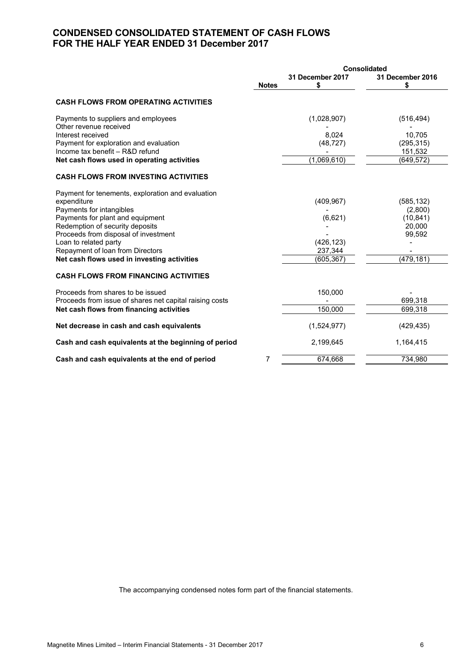# **CONDENSED CONSOLIDATED STATEMENT OF CASH FLOWS FOR THE HALF YEAR ENDED 31 December 2017**

|                                                               | <b>Consolidated</b> |                       |                       |
|---------------------------------------------------------------|---------------------|-----------------------|-----------------------|
|                                                               | <b>Notes</b>        | 31 December 2017<br>S | 31 December 2016<br>S |
| <b>CASH FLOWS FROM OPERATING ACTIVITIES</b>                   |                     |                       |                       |
| Payments to suppliers and employees<br>Other revenue received |                     | (1,028,907)           | (516, 494)            |
| Interest received                                             |                     | 8.024                 | 10.705                |
| Payment for exploration and evaluation                        |                     | (48, 727)             | (295, 315)            |
| Income tax benefit - R&D refund                               |                     |                       | 151,532               |
| Net cash flows used in operating activities                   |                     | (1,069,610)           | (649, 572)            |
| <b>CASH FLOWS FROM INVESTING ACTIVITIES</b>                   |                     |                       |                       |
| Payment for tenements, exploration and evaluation             |                     |                       |                       |
| expenditure                                                   |                     | (409, 967)            | (585, 132)            |
| Payments for intangibles                                      |                     |                       | (2,800)               |
| Payments for plant and equipment                              |                     | (6,621)               | (10, 841)             |
| Redemption of security deposits                               |                     |                       | 20,000                |
| Proceeds from disposal of investment                          |                     |                       | 99,592                |
| Loan to related party                                         |                     | (426, 123)            |                       |
| Repayment of loan from Directors                              |                     | 237,344               |                       |
| Net cash flows used in investing activities                   |                     | (605, 367)            | (479, 181)            |
| <b>CASH FLOWS FROM FINANCING ACTIVITIES</b>                   |                     |                       |                       |
| Proceeds from shares to be issued                             |                     | 150,000               |                       |
| Proceeds from issue of shares net capital raising costs       |                     |                       | 699,318               |
| Net cash flows from financing activities                      |                     | 150,000               | 699,318               |
| Net decrease in cash and cash equivalents                     |                     | (1,524,977)           | (429, 435)            |
| Cash and cash equivalents at the beginning of period          |                     | 2,199,645             | 1,164,415             |
| Cash and cash equivalents at the end of period                | 7                   | 674,668               | 734,980               |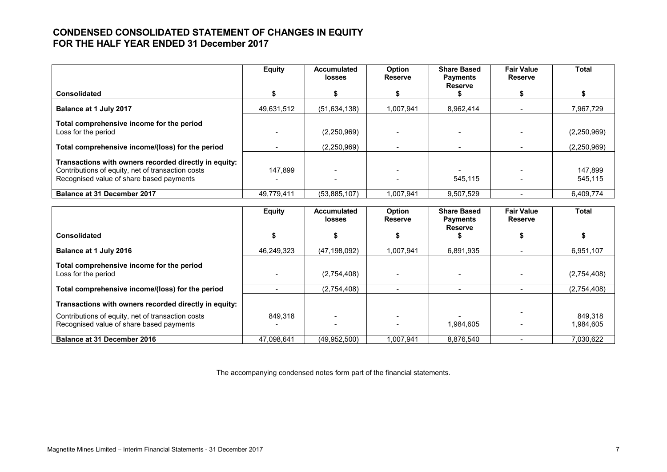# **CONDENSED CONSOLIDATED STATEMENT OF CHANGES IN EQUITY FOR THE HALF YEAR ENDED 31 December 2017**

|                                                                                                                                                        | <b>Equity</b> | <b>Accumulated</b><br><b>losses</b> | Option<br><b>Reserve</b> | <b>Share Based</b><br><b>Payments</b> | <b>Fair Value</b><br><b>Reserve</b> | Total              |
|--------------------------------------------------------------------------------------------------------------------------------------------------------|---------------|-------------------------------------|--------------------------|---------------------------------------|-------------------------------------|--------------------|
| Consolidated                                                                                                                                           |               |                                     |                          | <b>Reserve</b>                        |                                     |                    |
| Balance at 1 July 2017                                                                                                                                 | 49,631,512    | (51, 634, 138)                      | 1,007,941                | 8.962.414                             |                                     | 7,967,729          |
| Total comprehensive income for the period<br>Loss for the period                                                                                       |               | (2,250,969)                         |                          |                                       |                                     | (2,250,969)        |
| Total comprehensive income/(loss) for the period                                                                                                       |               | (2.250.969)                         |                          |                                       |                                     | (2,250,969)        |
| Transactions with owners recorded directly in equity:<br>Contributions of equity, net of transaction costs<br>Recognised value of share based payments | 147.899       |                                     |                          | 545,115                               |                                     | 147,899<br>545,115 |
| <b>Balance at 31 December 2017</b>                                                                                                                     | 49.779.411    | (53.885.107)                        | .007.941                 | 9.507.529                             |                                     | 6.409.774          |

|                                                                                               | <b>Equity</b> | <b>Accumulated</b><br><b>losses</b> | Option<br><b>Reserve</b> | <b>Share Based</b><br><b>Payments</b> | <b>Fair Value</b><br><b>Reserve</b> | <b>Total</b>         |
|-----------------------------------------------------------------------------------------------|---------------|-------------------------------------|--------------------------|---------------------------------------|-------------------------------------|----------------------|
| <b>Consolidated</b>                                                                           |               |                                     |                          | Reserve                               |                                     |                      |
| Balance at 1 July 2016                                                                        | 46.249.323    | (47, 198, 092)                      | 1,007,941                | 6,891,935                             |                                     | 6,951,107            |
| Total comprehensive income for the period<br>Loss for the period                              |               | (2,754,408)                         |                          |                                       |                                     | (2,754,408)          |
| Total comprehensive income/(loss) for the period                                              |               | (2,754,408)                         |                          | $\overline{\phantom{0}}$              |                                     | (2,754,408)          |
| Transactions with owners recorded directly in equity:                                         |               |                                     |                          |                                       |                                     |                      |
| Contributions of equity, net of transaction costs<br>Recognised value of share based payments | 849.318       |                                     |                          | 1.984.605                             |                                     | 849,318<br>1.984.605 |
| <b>Balance at 31 December 2016</b>                                                            | 47.098.641    | (49,952,500)                        | 1,007,941                | 8,876,540                             |                                     | 7,030,622            |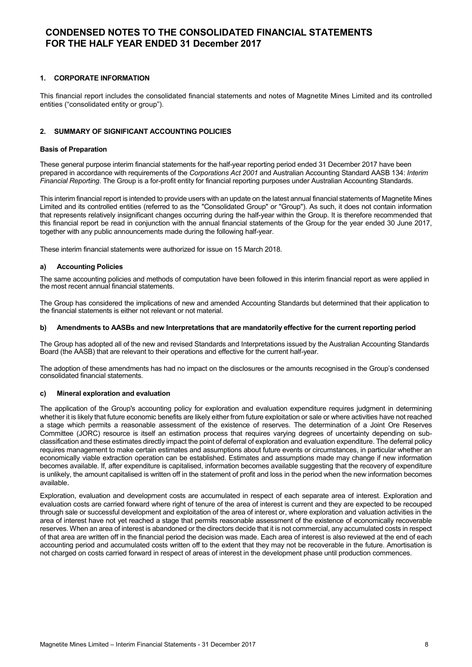### **1. CORPORATE INFORMATION**

This financial report includes the consolidated financial statements and notes of Magnetite Mines Limited and its controlled entities ("consolidated entity or group").

### **2. SUMMARY OF SIGNIFICANT ACCOUNTING POLICIES**

#### **Basis of Preparation**

These general purpose interim financial statements for the half-year reporting period ended 31 December 2017 have been prepared in accordance with requirements of the *Corporations Act 2001* and Australian Accounting Standard AASB 134: *Interim Financial Reporting*. The Group is a for-profit entity for financial reporting purposes under Australian Accounting Standards.

This interim financial report is intended to provide users with an update on the latest annual financial statements of Magnetite Mines Limited and its controlled entities (referred to as the "Consolidated Group" or "Group"). As such, it does not contain information that represents relatively insignificant changes occurring during the half-year within the Group. It is therefore recommended that this financial report be read in conjunction with the annual financial statements of the Group for the year ended 30 June 2017, together with any public announcements made during the following half-year.

These interim financial statements were authorized for issue on 15 March 2018.

#### **a) Accounting Policies**

The same accounting policies and methods of computation have been followed in this interim financial report as were applied in the most recent annual financial statements.

The Group has considered the implications of new and amended Accounting Standards but determined that their application to the financial statements is either not relevant or not material.

#### **b) Amendments to AASBs and new Interpretations that are mandatorily effective for the current reporting period**

The Group has adopted all of the new and revised Standards and Interpretations issued by the Australian Accounting Standards Board (the AASB) that are relevant to their operations and effective for the current half-year.

The adoption of these amendments has had no impact on the disclosures or the amounts recognised in the Group's condensed consolidated financial statements.

#### **c) Mineral exploration and evaluation**

The application of the Group's accounting policy for exploration and evaluation expenditure requires judgment in determining whether it is likely that future economic benefits are likely either from future exploitation or sale or where activities have not reached a stage which permits a reasonable assessment of the existence of reserves. The determination of a Joint Ore Reserves Committee (JORC) resource is itself an estimation process that requires varying degrees of uncertainty depending on subclassification and these estimates directly impact the point of deferral of exploration and evaluation expenditure. The deferral policy requires management to make certain estimates and assumptions about future events or circumstances, in particular whether an economically viable extraction operation can be established. Estimates and assumptions made may change if new information becomes available. If, after expenditure is capitalised, information becomes available suggesting that the recovery of expenditure is unlikely, the amount capitalised is written off in the statement of profit and loss in the period when the new information becomes available.

Exploration, evaluation and development costs are accumulated in respect of each separate area of interest. Exploration and evaluation costs are carried forward where right of tenure of the area of interest is current and they are expected to be recouped through sale or successful development and exploitation of the area of interest or, where exploration and valuation activities in the area of interest have not yet reached a stage that permits reasonable assessment of the existence of economically recoverable reserves. When an area of interest is abandoned or the directors decide that it is not commercial, any accumulated costs in respect of that area are written off in the financial period the decision was made. Each area of interest is also reviewed at the end of each accounting period and accumulated costs written off to the extent that they may not be recoverable in the future. Amortisation is not charged on costs carried forward in respect of areas of interest in the development phase until production commences.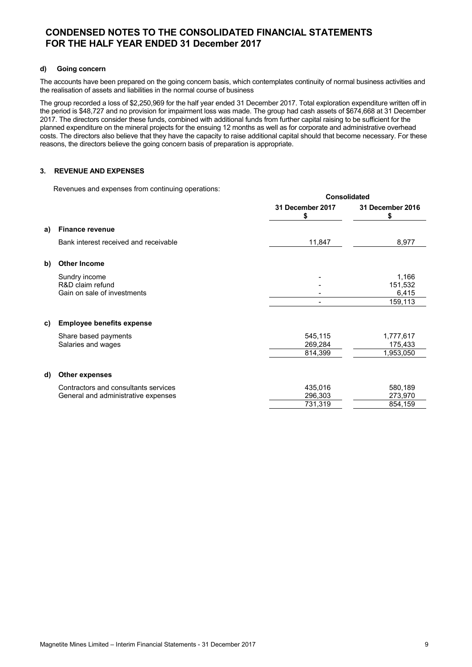### **d) Going concern**

The accounts have been prepared on the going concern basis, which contemplates continuity of normal business activities and the realisation of assets and liabilities in the normal course of business

The group recorded a loss of \$2,250,969 for the half year ended 31 December 2017. Total exploration expenditure written off in the period is \$48,727 and no provision for impairment loss was made. The group had cash assets of \$674,668 at 31 December 2017. The directors consider these funds, combined with additional funds from further capital raising to be sufficient for the planned expenditure on the mineral projects for the ensuing 12 months as well as for corporate and administrative overhead costs. The directors also believe that they have the capacity to raise additional capital should that become necessary. For these reasons, the directors believe the going concern basis of preparation is appropriate.

**Consolidated**

### **3. REVENUE AND EXPENSES**

Revenues and expenses from continuing operations:

|    |                                       | Consolidated          |                       |  |
|----|---------------------------------------|-----------------------|-----------------------|--|
|    |                                       | 31 December 2017<br>S | 31 December 2016<br>S |  |
| a) | <b>Finance revenue</b>                |                       |                       |  |
|    | Bank interest received and receivable | 11,847                | 8,977                 |  |
| b) | <b>Other Income</b>                   |                       |                       |  |
|    | Sundry income                         |                       | 1,166                 |  |
|    | R&D claim refund                      |                       | 151,532               |  |
|    | Gain on sale of investments           |                       | 6,415                 |  |
|    |                                       |                       | 159,113               |  |
| C) | <b>Employee benefits expense</b>      |                       |                       |  |
|    | Share based payments                  | 545,115               | 1,777,617             |  |
|    | Salaries and wages                    | 269,284               | 175,433               |  |
|    |                                       | 814,399               | 1,953,050             |  |
| d) | <b>Other expenses</b>                 |                       |                       |  |
|    | Contractors and consultants services  | 435,016               | 580,189               |  |
|    | General and administrative expenses   | 296,303               | 273,970               |  |
|    |                                       | 731,319               | 854,159               |  |
|    |                                       |                       |                       |  |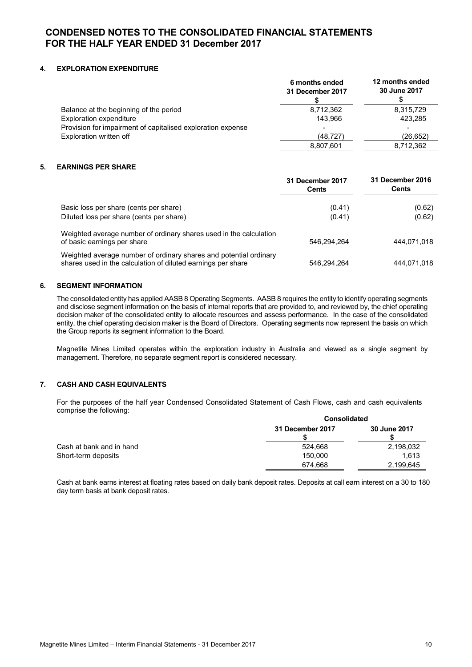### **4. EXPLORATION EXPENDITURE**

|                                                             | 6 months ended<br>31 December 2017 | 12 months ended<br>30 June 2017 |
|-------------------------------------------------------------|------------------------------------|---------------------------------|
| Balance at the beginning of the period                      | 8,712,362                          | 8,315,729                       |
| Exploration expenditure                                     | 143.966                            | 423,285                         |
| Provision for impairment of capitalised exploration expense |                                    |                                 |
| Exploration written off                                     | (48.727)                           | (26, 652)                       |
|                                                             | 8,807,601                          | 8,712,362                       |

### **5. EARNINGS PER SHARE**

|                                                                                                                                   | 31 December 2017<br><b>Cents</b> | 31 December 2016<br>Cents |
|-----------------------------------------------------------------------------------------------------------------------------------|----------------------------------|---------------------------|
| Basic loss per share (cents per share)                                                                                            | (0.41)                           | (0.62)                    |
| Diluted loss per share (cents per share)                                                                                          | (0.41)                           | (0.62)                    |
| Weighted average number of ordinary shares used in the calculation<br>of basic earnings per share                                 | 546.294.264                      | 444,071,018               |
| Weighted average number of ordinary shares and potential ordinary<br>shares used in the calculation of diluted earnings per share | 546.294.264                      | 444.071.018               |

### **6. SEGMENT INFORMATION**

The consolidated entity has applied AASB 8 Operating Segments. AASB 8 requires the entity to identify operating segments and disclose segment information on the basis of internal reports that are provided to, and reviewed by, the chief operating decision maker of the consolidated entity to allocate resources and assess performance. In the case of the consolidated entity, the chief operating decision maker is the Board of Directors. Operating segments now represent the basis on which the Group reports its segment information to the Board.

Magnetite Mines Limited operates within the exploration industry in Australia and viewed as a single segment by management. Therefore, no separate segment report is considered necessary.

### **7. CASH AND CASH EQUIVALENTS**

For the purposes of the half year Condensed Consolidated Statement of Cash Flows, cash and cash equivalents comprise the following:

|                          |                  | <b>Consolidated</b> |  |  |
|--------------------------|------------------|---------------------|--|--|
|                          | 31 December 2017 | 30 June 2017        |  |  |
| Cash at bank and in hand | 524.668          | 2,198,032           |  |  |
| Short-term deposits      | 150.000          | 1.613               |  |  |
|                          | 674.668          | 2,199,645           |  |  |

Cash at bank earns interest at floating rates based on daily bank deposit rates. Deposits at call earn interest on a 30 to 180 day term basis at bank deposit rates.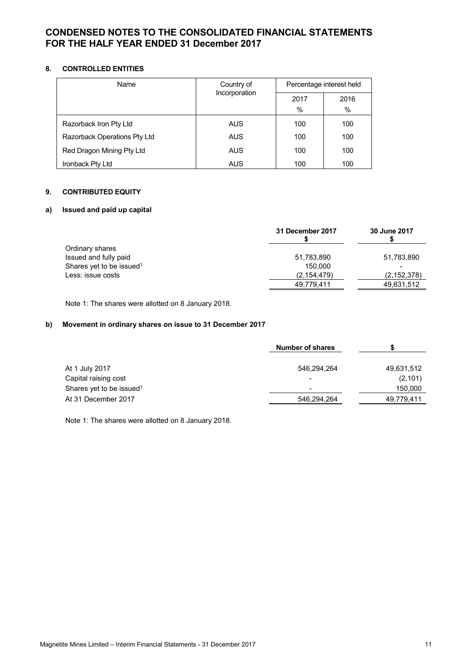# **8. CONTROLLED ENTITIES**

| Name                         | Country of<br>Incorporation | Percentage interest held |      |
|------------------------------|-----------------------------|--------------------------|------|
|                              |                             | 2017                     | 2016 |
|                              |                             | %                        | $\%$ |
| Razorback Iron Pty Ltd       | <b>AUS</b>                  | 100                      | 100  |
| Razorback Operations Pty Ltd | <b>AUS</b>                  | 100                      | 100  |
| Red Dragon Mining Pty Ltd    | <b>AUS</b>                  | 100                      | 100  |
| Ironback Pty Ltd             | <b>AUS</b>                  | 100                      | 100  |

# **9. CONTRIBUTED EQUITY**

# **a) Issued and paid up capital**

|                                      | 31 December 2017 | 30 June 2017  |
|--------------------------------------|------------------|---------------|
| Ordinary shares                      |                  |               |
| Issued and fully paid                | 51,783,890       | 51,783,890    |
| Shares yet to be issued <sup>1</sup> | 150.000          |               |
| Less: issue costs                    | (2, 154, 479)    | (2, 152, 378) |
|                                      | 49,779,411       | 49,631,512    |

Note 1: The shares were allotted on 8 January 2018.

# **b) Movement in ordinary shares on issue to 31 December 2017**

|                                      | <b>Number of shares</b> |            |  |
|--------------------------------------|-------------------------|------------|--|
| At 1 July 2017                       | 546,294,264             | 49,631,512 |  |
| Capital raising cost                 |                         | (2, 101)   |  |
| Shares yet to be issued <sup>1</sup> | -                       | 150,000    |  |
| At 31 December 2017                  | 546,294,264             | 49,779,411 |  |

Note 1: The shares were allotted on 8 January 2018.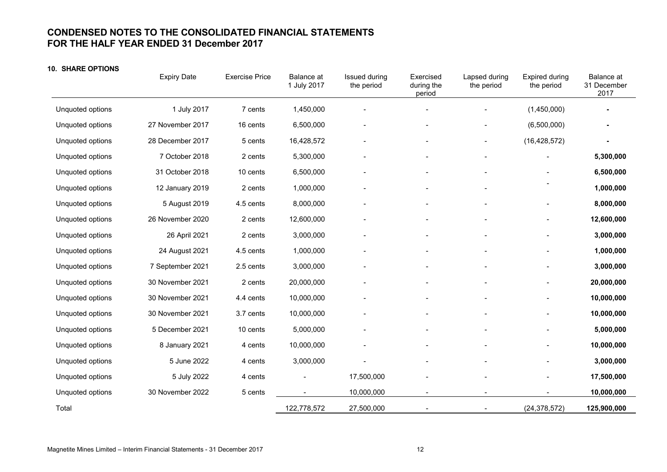### **10. SHARE OPTIONS**

|                  | <b>Expiry Date</b> | <b>Exercise Price</b> | Balance at<br>1 July 2017 | Issued during<br>the period | Exercised<br>during the<br>period | Lapsed during<br>the period | Expired during<br>the period | Balance at<br>31 December<br>2017 |
|------------------|--------------------|-----------------------|---------------------------|-----------------------------|-----------------------------------|-----------------------------|------------------------------|-----------------------------------|
| Unquoted options | 1 July 2017        | 7 cents               | 1,450,000                 |                             |                                   |                             | (1,450,000)                  |                                   |
| Unquoted options | 27 November 2017   | 16 cents              | 6,500,000                 |                             |                                   |                             | (6,500,000)                  | $\overline{\phantom{a}}$          |
| Unquoted options | 28 December 2017   | 5 cents               | 16,428,572                | $\qquad \qquad -$           | $\overline{\phantom{a}}$          |                             | (16, 428, 572)               | $\overline{a}$                    |
| Unquoted options | 7 October 2018     | 2 cents               | 5,300,000                 |                             |                                   |                             |                              | 5,300,000                         |
| Unquoted options | 31 October 2018    | 10 cents              | 6,500,000                 |                             |                                   |                             |                              | 6,500,000                         |
| Unquoted options | 12 January 2019    | 2 cents               | 1,000,000                 |                             |                                   |                             |                              | 1,000,000                         |
| Unquoted options | 5 August 2019      | 4.5 cents             | 8,000,000                 |                             |                                   |                             |                              | 8,000,000                         |
| Unquoted options | 26 November 2020   | 2 cents               | 12,600,000                |                             |                                   |                             |                              | 12,600,000                        |
| Unquoted options | 26 April 2021      | 2 cents               | 3,000,000                 |                             |                                   |                             |                              | 3,000,000                         |
| Unquoted options | 24 August 2021     | 4.5 cents             | 1,000,000                 |                             |                                   |                             |                              | 1,000,000                         |
| Unquoted options | 7 September 2021   | 2.5 cents             | 3,000,000                 |                             |                                   |                             |                              | 3,000,000                         |
| Unquoted options | 30 November 2021   | 2 cents               | 20,000,000                | $\overline{\phantom{a}}$    |                                   |                             |                              | 20,000,000                        |
| Unquoted options | 30 November 2021   | 4.4 cents             | 10,000,000                |                             |                                   |                             |                              | 10,000,000                        |
| Unquoted options | 30 November 2021   | 3.7 cents             | 10,000,000                |                             |                                   |                             |                              | 10,000,000                        |
| Unquoted options | 5 December 2021    | 10 cents              | 5,000,000                 |                             |                                   |                             |                              | 5,000,000                         |
| Unquoted options | 8 January 2021     | 4 cents               | 10,000,000                |                             |                                   |                             |                              | 10,000,000                        |
| Unquoted options | 5 June 2022        | 4 cents               | 3,000,000                 |                             |                                   |                             |                              | 3,000,000                         |
| Unquoted options | 5 July 2022        | 4 cents               |                           | 17,500,000                  |                                   |                             |                              | 17,500,000                        |
| Unquoted options | 30 November 2022   | 5 cents               |                           | 10,000,000                  |                                   |                             |                              | 10,000,000                        |
| Total            |                    |                       | 122,778,572               | 27,500,000                  |                                   |                             | (24, 378, 572)               | 125,900,000                       |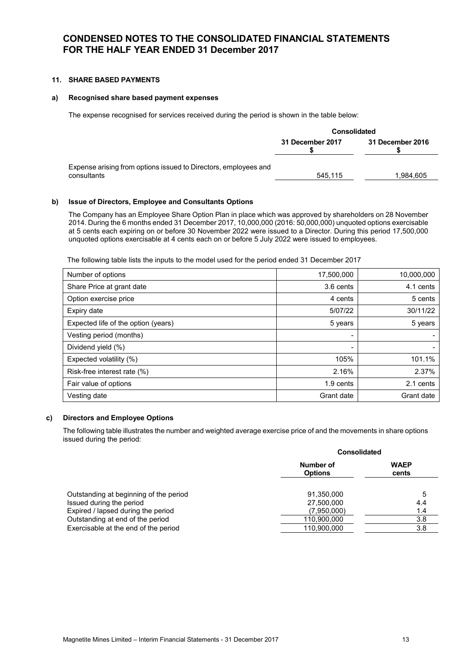### **11. SHARE BASED PAYMENTS**

### **a) Recognised share based payment expenses**

The expense recognised for services received during the period is shown in the table below:

|                                                                                | <b>Consolidated</b> |                  |  |
|--------------------------------------------------------------------------------|---------------------|------------------|--|
|                                                                                | 31 December 2017    | 31 December 2016 |  |
| Expense arising from options issued to Directors, employees and<br>consultants | 545.115             | 1.984.605        |  |

### **b) Issue of Directors, Employee and Consultants Options**

The Company has an Employee Share Option Plan in place which was approved by shareholders on 28 November 2014. During the 6 months ended 31 December 2017, 10,000,000 (2016: 50,000,000) unquoted options exercisable at 5 cents each expiring on or before 30 November 2022 were issued to a Director. During this period 17,500,000 unquoted options exercisable at 4 cents each on or before 5 July 2022 were issued to employees.

The following table lists the inputs to the model used for the period ended 31 December 2017

| Number of options                   | 17,500,000 | 10,000,000 |
|-------------------------------------|------------|------------|
| Share Price at grant date           | 3.6 cents  | 4.1 cents  |
| Option exercise price               | 4 cents    | 5 cents    |
| Expiry date                         | 5/07/22    | 30/11/22   |
| Expected life of the option (years) | 5 years    | 5 years    |
| Vesting period (months)             |            |            |
| Dividend yield (%)                  | ۰          |            |
| Expected volatility (%)             | 105%       | 101.1%     |
| Risk-free interest rate (%)         | 2.16%      | 2.37%      |
| Fair value of options               | 1.9 cents  | 2.1 cents  |
| Vesting date                        | Grant date | Grant date |

#### **c) Directors and Employee Options**

The following table illustrates the number and weighted average exercise price of and the movements in share options issued during the period:

|                                                                | <b>Consolidated</b>         |                      |  |
|----------------------------------------------------------------|-----------------------------|----------------------|--|
|                                                                | Number of<br><b>Options</b> | <b>WAEP</b><br>cents |  |
| Outstanding at beginning of the period                         | 91.350.000                  | 5                    |  |
| Issued during the period<br>Expired / lapsed during the period | 27,500,000<br>(7,950,000)   | 4.4<br>1.4           |  |
| Outstanding at end of the period                               | 110,900,000                 | 3.8                  |  |
| Exercisable at the end of the period                           | 110.900.000                 | 3.8                  |  |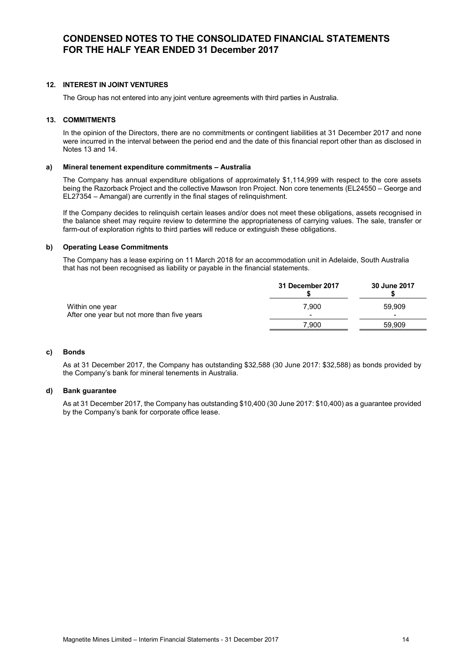### **12. INTEREST IN JOINT VENTURES**

The Group has not entered into any joint venture agreements with third parties in Australia.

#### **13. COMMITMENTS**

In the opinion of the Directors, there are no commitments or contingent liabilities at 31 December 2017 and none were incurred in the interval between the period end and the date of this financial report other than as disclosed in Notes 13 and 14.

#### **a) Mineral tenement expenditure commitments – Australia**

The Company has annual expenditure obligations of approximately \$1,114,999 with respect to the core assets being the Razorback Project and the collective Mawson Iron Project. Non core tenements (EL24550 – George and EL27354 – Amangal) are currently in the final stages of relinquishment.

If the Company decides to relinquish certain leases and/or does not meet these obligations, assets recognised in the balance sheet may require review to determine the appropriateness of carrying values. The sale, transfer or farm-out of exploration rights to third parties will reduce or extinguish these obligations.

### **b) Operating Lease Commitments**

The Company has a lease expiring on 11 March 2018 for an accommodation unit in Adelaide, South Australia that has not been recognised as liability or payable in the financial statements.

|                                                                | 31 December 2017         | 30 June 2017             |
|----------------------------------------------------------------|--------------------------|--------------------------|
| Within one vear<br>After one year but not more than five years | 7.900                    | 59.909                   |
|                                                                | $\overline{\phantom{a}}$ | $\overline{\phantom{0}}$ |
|                                                                | 7.900                    | 59.909                   |

#### **c) Bonds**

As at 31 December 2017, the Company has outstanding \$32,588 (30 June 2017: \$32,588) as bonds provided by the Company's bank for mineral tenements in Australia.

#### **d) Bank guarantee**

As at 31 December 2017, the Company has outstanding \$10,400 (30 June 2017: \$10,400) as a guarantee provided by the Company's bank for corporate office lease.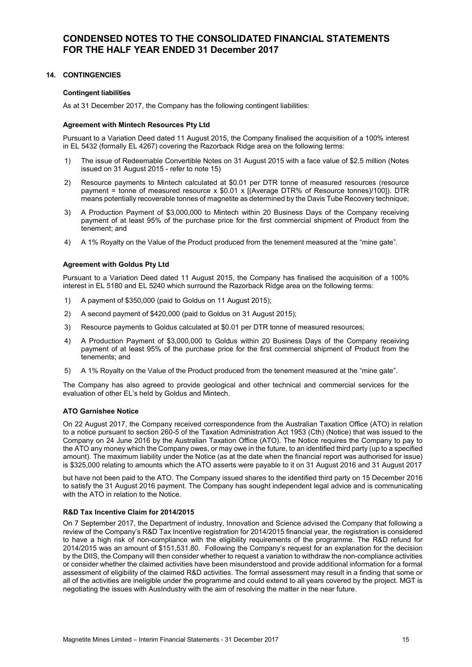### **14. CONTINGENCIES**

### **Contingent liabilities**

As at 31 December 2017, the Company has the following contingent liabilities:

### **Agreement with Mintech Resources Pty Ltd**

Pursuant to a Variation Deed dated 11 August 2015, the Company finalised the acquisition of a 100% interest in EL 5432 (formally EL 4267) covering the Razorback Ridge area on the following terms:

- 1) The issue of Redeemable Convertible Notes on 31 August 2015 with a face value of \$2.5 million (Notes issued on 31 August 2015 - refer to note 15)
- 2) Resource payments to Mintech calculated at \$0.01 per DTR tonne of measured resources (resource payment = tonne of measured resource x \$0.01 x [(Average DTR% of Resource tonnes)/100]). DTR means potentially recoverable tonnes of magnetite as determined by the Davis Tube Recovery technique;
- 3) A Production Payment of \$3,000,000 to Mintech within 20 Business Days of the Company receiving payment of at least 95% of the purchase price for the first commercial shipment of Product from the tenement; and
- 4) A 1% Royalty on the Value of the Product produced from the tenement measured at the "mine gate".

### **Agreement with Goldus Pty Ltd**

Pursuant to a Variation Deed dated 11 August 2015, the Company has finalised the acquisition of a 100% interest in EL 5180 and EL 5240 which surround the Razorback Ridge area on the following terms:

- 1) A payment of \$350,000 (paid to Goldus on 11 August 2015);
- 2) A second payment of \$420,000 (paid to Goldus on 31 August 2015);
- 3) Resource payments to Goldus calculated at \$0.01 per DTR tonne of measured resources;
- 4) A Production Payment of \$3,000,000 to Goldus within 20 Business Days of the Company receiving payment of at least 95% of the purchase price for the first commercial shipment of Product from the tenements; and
- 5) A 1% Royalty on the Value of the Product produced from the tenement measured at the "mine gate".

The Company has also agreed to provide geological and other technical and commercial services for the evaluation of other EL's held by Goldus and Mintech.

### **ATO Garnishee Notice**

On 22 August 2017, the Company received correspondence from the Australian Taxation Office (ATO) in relation to a notice pursuant to section 260-5 of the Taxation Administration Act 1953 (Cth) (Notice) that was issued to the Company on 24 June 2016 by the Australian Taxation Office (ATO). The Notice requires the Company to pay to the ATO any money which the Company owes, or may owe in the future, to an identified third party (up to a specified amount). The maximum liability under the Notice (as at the date when the financial report was authorised for issue) is \$325,000 relating to amounts which the ATO asserts were payable to it on 31 August 2016 and 31 August 2017

but have not been paid to the ATO. The Company issued shares to the identified third party on 15 December 2016 to satisfy the 31 August 2016 payment. The Company has sought independent legal advice and is communicating with the ATO in relation to the Notice.

### **R&D Tax Incentive Claim for 2014/2015**

On 7 September 2017, the Department of industry, Innovation and Science advised the Company that following a review of the Company's R&D Tax Incentive registration for 2014/2015 financial year, the registration is considered to have a high risk of non-compliance with the eligibility requirements of the programme. The R&D refund for 2014/2015 was an amount of \$151,531.80. Following the Company's request for an explanation for the decision by the DIIS, the Company will then consider whether to request a variation to withdraw the non-compliance activities or consider whether the claimed activities have been misunderstood and provide additional information for a formal assessment of eligibility of the claimed R&D activities. The formal assessment may result in a finding that some or all of the activities are ineligible under the programme and could extend to all years covered by the project. MGT is negotiating the issues with AusIndustry with the aim of resolving the matter in the near future.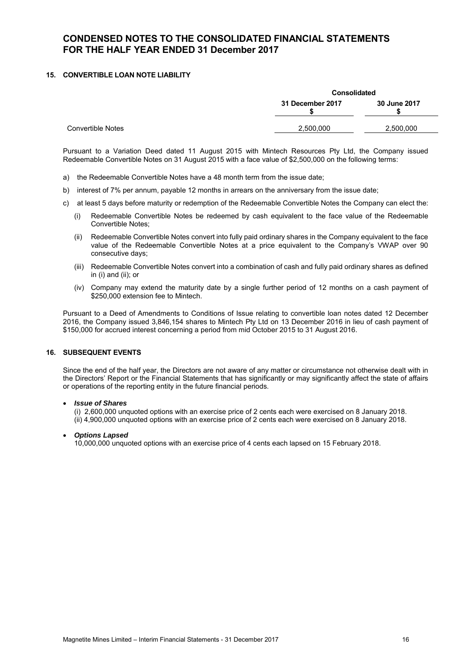### **15. CONVERTIBLE LOAN NOTE LIABILITY**

|                   | <b>Consolidated</b>              |           |  |
|-------------------|----------------------------------|-----------|--|
|                   | 31 December 2017<br>30 June 2017 |           |  |
| Convertible Notes | 2,500,000                        | 2,500,000 |  |

Pursuant to a Variation Deed dated 11 August 2015 with Mintech Resources Pty Ltd, the Company issued Redeemable Convertible Notes on 31 August 2015 with a face value of \$2,500,000 on the following terms:

- a) the Redeemable Convertible Notes have a 48 month term from the issue date;
- b) interest of 7% per annum, payable 12 months in arrears on the anniversary from the issue date;
- c) at least 5 days before maturity or redemption of the Redeemable Convertible Notes the Company can elect the:
	- (i) Redeemable Convertible Notes be redeemed by cash equivalent to the face value of the Redeemable Convertible Notes;
	- Redeemable Convertible Notes convert into fully paid ordinary shares in the Company equivalent to the face value of the Redeemable Convertible Notes at a price equivalent to the Company's VWAP over 90 consecutive days;
	- (iii) Redeemable Convertible Notes convert into a combination of cash and fully paid ordinary shares as defined in (i) and (ii); or
	- (iv) Company may extend the maturity date by a single further period of 12 months on a cash payment of \$250,000 extension fee to Mintech.

Pursuant to a Deed of Amendments to Conditions of Issue relating to convertible loan notes dated 12 December 2016, the Company issued 3,846,154 shares to Mintech Pty Ltd on 13 December 2016 in lieu of cash payment of \$150,000 for accrued interest concerning a period from mid October 2015 to 31 August 2016.

# **16. SUBSEQUENT EVENTS**

Since the end of the half year, the Directors are not aware of any matter or circumstance not otherwise dealt with in the Directors' Report or the Financial Statements that has significantly or may significantly affect the state of affairs or operations of the reporting entity in the future financial periods.

#### • *Issue of Shares*

(i) 2,600,000 unquoted options with an exercise price of 2 cents each were exercised on 8 January 2018. (ii) 4,900,000 unquoted options with an exercise price of 2 cents each were exercised on 8 January 2018.

### • *Options Lapsed*

10,000,000 unquoted options with an exercise price of 4 cents each lapsed on 15 February 2018.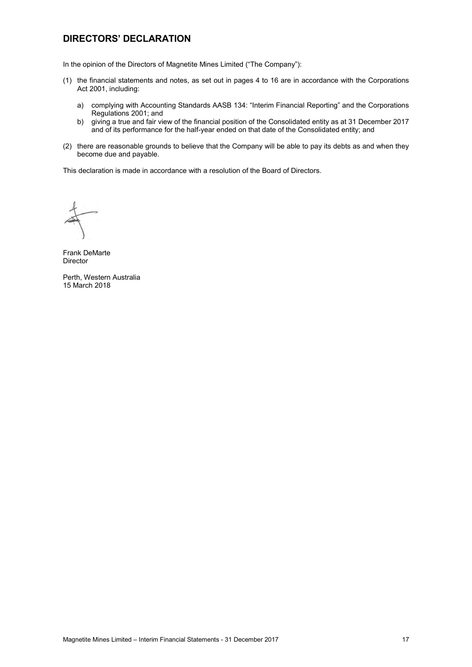# **DIRECTORS' DECLARATION**

In the opinion of the Directors of Magnetite Mines Limited ("The Company"):

- (1) the financial statements and notes, as set out in pages 4 to 16 are in accordance with the Corporations Act 2001, including:
	- a) complying with Accounting Standards AASB 134: "Interim Financial Reporting" and the Corporations Regulations 2001; and
	- b) giving a true and fair view of the financial position of the Consolidated entity as at 31 December 2017 and of its performance for the half-year ended on that date of the Consolidated entity; and
- (2) there are reasonable grounds to believe that the Company will be able to pay its debts as and when they become due and payable.

This declaration is made in accordance with a resolution of the Board of Directors.

Frank DeMarte Director

Perth, Western Australia 15 March 2018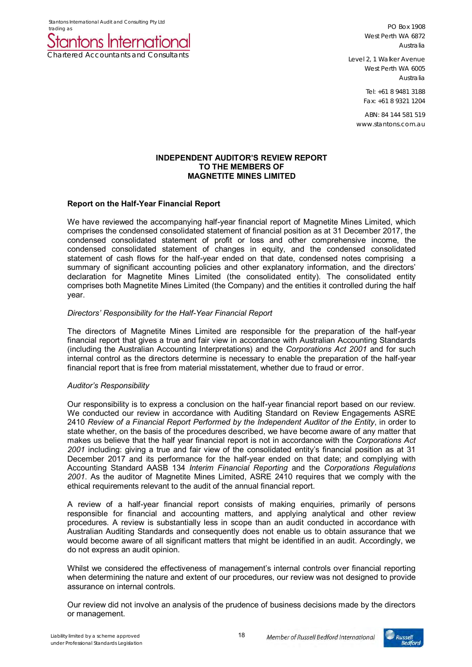Stantons International Audit and Consulting Pty Ltd trading as



PO Box 1908 West Perth WA 6872 Australia

Level 2, 1 Walker Avenue West Perth WA 6005 Australia

> Tel: +61 8 9481 3188 Fax: +61 8 9321 1204

ABN: 84 144 581 519 www.stantons.com.au

### **INDEPENDENT AUDITOR'S REVIEW REPORT TO THE MEMBERS OF MAGNETITE MINES LIMITED**

# **Report on the Half-Year Financial Report**

We have reviewed the accompanying half-year financial report of Magnetite Mines Limited, which comprises the condensed consolidated statement of financial position as at 31 December 2017, the condensed consolidated statement of profit or loss and other comprehensive income, the condensed consolidated statement of changes in equity, and the condensed consolidated statement of cash flows for the half-year ended on that date, condensed notes comprising a summary of significant accounting policies and other explanatory information, and the directors' declaration for Magnetite Mines Limited (the consolidated entity). The consolidated entity comprises both Magnetite Mines Limited (the Company) and the entities it controlled during the half year.

# *Directors' Responsibility for the Half-Year Financial Report*

The directors of Magnetite Mines Limited are responsible for the preparation of the half-year financial report that gives a true and fair view in accordance with Australian Accounting Standards (including the Australian Accounting Interpretations) and the *Corporations Act 2001* and for such internal control as the directors determine is necessary to enable the preparation of the half-year financial report that is free from material misstatement, whether due to fraud or error.

### *Auditor's Responsibility*

Our responsibility is to express a conclusion on the half-year financial report based on our review. We conducted our review in accordance with Auditing Standard on Review Engagements ASRE 2410 *Review of a Financial Report Performed by the Independent Auditor of the Entity*, in order to state whether, on the basis of the procedures described, we have become aware of any matter that makes us believe that the half year financial report is not in accordance with the *Corporations Act 2001* including: giving a true and fair view of the consolidated entity's financial position as at 31 December 2017 and its performance for the half-year ended on that date; and complying with Accounting Standard AASB 134 *Interim Financial Reporting* and the *Corporations Regulations 2001*. As the auditor of Magnetite Mines Limited, ASRE 2410 requires that we comply with the ethical requirements relevant to the audit of the annual financial report.

A review of a half-year financial report consists of making enquiries, primarily of persons responsible for financial and accounting matters, and applying analytical and other review procedures. A review is substantially less in scope than an audit conducted in accordance with Australian Auditing Standards and consequently does not enable us to obtain assurance that we would become aware of all significant matters that might be identified in an audit. Accordingly, we do not express an audit opinion.

Whilst we considered the effectiveness of management's internal controls over financial reporting when determining the nature and extent of our procedures, our review was not designed to provide assurance on internal controls.

Our review did not involve an analysis of the prudence of business decisions made by the directors or management.